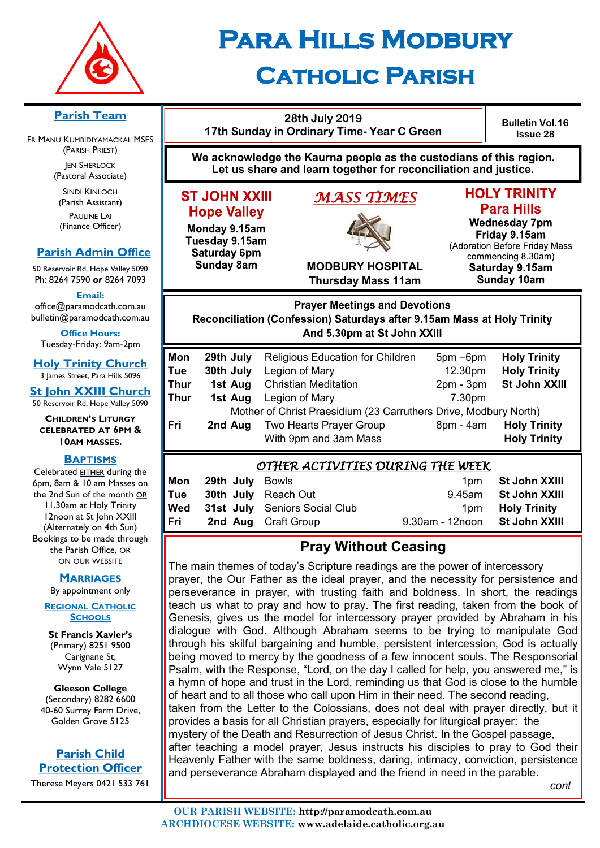

# **Para Hills Modbury Catholic Parish**

#### **28th July 2019 Bulletin Vol.16 17th Sunday in Ordinary Time- Year C Green Issue 28 We acknowledge the Kaurna people as the custodians of this region. Let us share and learn together for reconciliation and justice. HOLY TRINITY ST JOHN XXIII** *MASS TIMES*  **Para Hills Hope Valley Wednesday 7pm** Monday 9.15am Friday 9.15am Tuesday 9.15am (Adoration Before Friday Mass Saturday 6pm commencing 8.30am) **Sunday 8am MODBURY HOSPITAL** Saturday 9.15am Sunday 10am **Thursday Mass 11am Prayer Meetings and Devotions** Reconciliation (Confession) Saturdays after 9.15am Mass at Holy Trinity And 5.30pm at St John XXIII **Mon 29th July** Religious Education for Children 5pm –6pm **Holy Trinity Tue 30th July** Legion of Mary 12.30pm **Holy Trinity Thur 1st Aug** Christian Meditation 2pm - 3pm **St John XXIII Thur 1st Aug** Legion of Mary **1988 1988** 7.30pm Mother of Christ Praesidium (23 Carruthers Drive, Modbury North) **Fri 2nd Aug** Two Hearts Prayer Group 8pm - 4am **Holy Trinity** With 9pm and 3am Mass **Holy Trinity** *OTHER ACTIVITIES DURING THE WEEK*  **Mon 29th July** Bowls **1pm St John XXIII Tue 30th July** Reach Out 9.45am **St John XXIII Wed 31st July** Seniors Social Club 1pm **Holy Trinity**

# **Pray Without Ceasing**

**Fri 2nd Aug** Craft Group 9.30am - 12noon **St John XXIII**

The main themes of today's Scripture readings are the power of intercessory prayer, the Our Father as the ideal prayer, and the necessity for persistence and perseverance in prayer, with trusting faith and boldness. In short, the readings teach us what to pray and how to pray. The first reading, taken from the book of Genesis, gives us the model for intercessory prayer provided by Abraham in his dialogue with God. Although Abraham seems to be trying to manipulate God through his skilful bargaining and humble, persistent intercession, God is actually being moved to mercy by the goodness of a few innocent souls. The Responsorial Psalm, with the Response, "Lord, on the day I called for help, you answered me," is a hymn of hope and trust in the Lord, reminding us that God is close to the humble of heart and to all those who call upon Him in their need. The second reading, taken from the Letter to the Colossians, does not deal with prayer directly, but it provides a basis for all Christian prayers, especially for liturgical prayer: the mystery of the Death and Resurrection of Jesus Christ. In the Gospel passage, after teaching a model prayer, Jesus instructs his disciples to pray to God their Heavenly Father with the same boldness, daring, intimacy, conviction, persistence and perseverance Abraham displayed and the friend in need in the parable.

*cont*

# **Parish Team**

FR MANU KUMBIDIYAMACKAL MSFS (PARISH PRIEST) **JEN SHERLOCK** 

(Pastoral Associate)

SINDI KINLOCH (Parish Assistant) PAULINE LAI (Finance Officer)

# **Parish Admin Office**

50 Reservoir Rd, Hope Valley 5090 Ph: 8264 7590 *or* 8264 7093

**Email:** 

office@paramodcath.com.au bulletin@paramodcath.com.au

**Office Hours:**  Tuesday-Friday: 9am-2pm

**Holy Trinity Church** 3 James Street, Para Hills 5096

**St John XXIII Church** 50 Reservoir Rd, Hope Valley 5090

#### **CHILDREN'S LITURGY CELEBRATED AT 6PM & 10AM MASSES.**

#### **BAPTISMS**

Celebrated EITHER during the 6pm, 8am & 10 am Masses on the 2nd Sun of the month OR 11.30am at Holy Trinity 12noon at St John XXIII (Alternately on 4th Sun) Bookings to be made through the Parish Office, OR ON OUR WEBSITE

#### **MARRIAGES**

By appointment only

**REGIONAL CATHOLIC SCHOOLS**

**St Francis Xavier's**  (Primary) 8251 9500 Carignane St, Wynn Vale 5127

**Gleeson College**  (Secondary) 8282 6600 40-60 Surrey Farm Drive, Golden Grove 5125

# **Parish Child Protection Officer**

Therese Meyers 0421 533 761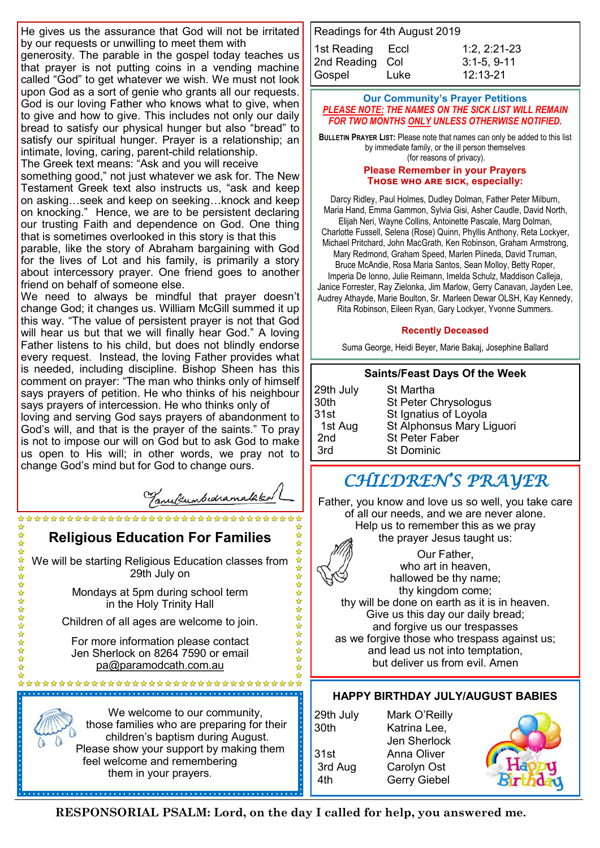He gives us the assurance that God will not be irritated by our requests or unwilling to meet them with

generosity. The parable in the gospel today teaches us that prayer is not putting coins in a vending machine called "God" to get whatever we wish. We must not look upon God as a sort of genie who grants all our requests. God is our loving Father who knows what to give, when to give and how to give. This includes not only our daily bread to satisfy our physical hunger but also "bread" to satisfy our spiritual hunger. Prayer is a relationship; an intimate, loving, caring, parent-child relationship.

The Greek text means: "Ask and you will receive

something good," not just whatever we ask for. The New Testament Greek text also instructs us, "ask and keep on asking…seek and keep on seeking…knock and keep on knocking." Hence, we are to be persistent declaring our trusting Faith and dependence on God. One thing that is sometimes overlooked in this story is that this

parable, like the story of Abraham bargaining with God for the lives of Lot and his family, is primarily a story about intercessory prayer. One friend goes to another friend on behalf of someone else.

We need to always be mindful that prayer doesn't change God; it changes us. William McGill summed it up this way. "The value of persistent prayer is not that God will hear us but that we will finally hear God." A loving Father listens to his child, but does not blindly endorse every request. Instead, the loving Father provides what is needed, including discipline. Bishop Sheen has this comment on prayer: "The man who thinks only of himself says prayers of petition. He who thinks of his neighbour says prayers of intercession. He who thinks only of

loving and serving God says prayers of abandonment to God's will, and that is the prayer of the saints." To pray is not to impose our will on God but to ask God to make us open to His will; in other words, we pray not to change God's mind but for God to change ours.

Tanultumbedramataked

**Religious Education For Families**

\*\*\*\*\*\*\*\*\*\*\*\*\*\*\*\*\*\*\*\*\*\*\*\*\*\*\*\*

54年

☆☆☆☆☆☆☆☆☆☆☆☆☆☆

We will be starting Religious Education classes from 29th July on

> Mondays at 5pm during school term in the Holy Trinity Hall

Children of all ages are welcome to join.

For more information please contact Jen Sherlock on 8264 7590 or email [pa@paramodcath.com.au](mailto:pa@paramodcath.com.au)

\*\*\*\*\*\*\*\*\*\*\*\*\*\*\*\*\*\*\*\*\*\*\*\*\*\*\*\*\*\*\*\*\*\*\*\* 



| Readings for 4th August 2019 |      |                |  |  |
|------------------------------|------|----------------|--|--|
| 1st Reading Eccl             |      | $1:2, 2:21-23$ |  |  |
| 2nd Reading Col              |      | $3:1-5, 9-11$  |  |  |
| Gospel                       | Luke | 12:13-21       |  |  |

#### **Our Community's Prayer Petitions**  *PLEASE NOTE: THE NAMES ON THE SICK LIST WILL REMAIN FOR TWO MONTHS ONLY UNLESS OTHERWISE NOTIFIED.*

**BULLETIN PRAYER LIST:** Please note that names can only be added to this list by immediate family, or the ill person themselves (for reasons of privacy).

#### **Please Remember in your Prayers Those who are sick, especially:**

Darcy Ridley, Paul Holmes, Dudley Dolman, Father Peter Milburn, Maria Hand, Emma Gammon, Sylvia Gisi, Asher Caudle, David North, Elijah Neri, Wayne Collins, Antoinette Pascale, Marg Dolman, Charlotte Fussell, Selena (Rose) Quinn, Phyllis Anthony, Reta Lockyer, Michael Pritchard, John MacGrath, Ken Robinson, Graham Armstrong, Mary Redmond, Graham Speed, Marlen Piineda, David Truman, Bruce McAndie, Rosa Maria Santos, Sean Molloy, Betty Roper, Imperia De Ionno, Julie Reimann, Imelda Schulz, Maddison Calleja, Janice Forrester, Ray Zielonka, Jim Marlow, Gerry Canavan, Jayden Lee, Audrey Athayde, Marie Boulton, Sr. Marleen Dewar OLSH, Kay Kennedy, Rita Robinson, Eileen Ryan, Gary Lockyer, Yvonne Summers.

#### **Recently Deceased**

Suma George, Heidi Beyer, Marie Bakaj, Josephine Ballard

#### **Saints/Feast Days Of the Week**

| 29th July<br>30th | St Martha<br>St Peter Chrysologus |
|-------------------|-----------------------------------|
| 31st              | St Ignatius of Loyola             |
| 1st Aug           | St Alphonsus Mary Liguori         |
| 2 <sub>nd</sub>   | <b>St Peter Faber</b>             |
| 3rd               | <b>St Dominic</b>                 |

# *CHILDREN'S PRAYER*

Father, you know and love us so well, you take care of all our needs, and we are never alone. Help us to remember this as we pray the prayer Jesus taught us:

Our Father, who art in heaven, hallowed be thy name; thy kingdom come; thy will be done on earth as it is in heaven. Give us this day our daily bread; and forgive us our trespasses as we forgive those who trespass against us; and lead us not into temptation, but deliver us from evil. Amen

# **HAPPY BIRTHDAY JULY/AUGUST BABIES**

29th July Mark O'Reilly 30th Katrina Lee, Jen Sherlock 31st Anna Oliver 3rd Aug Carolyn Ost 4th Gerry Giebel

**RESPONSORIAL PSALM: Lord, on the day I called for help, you answered me.**

슸

☆☆☆☆☆☆☆☆☆☆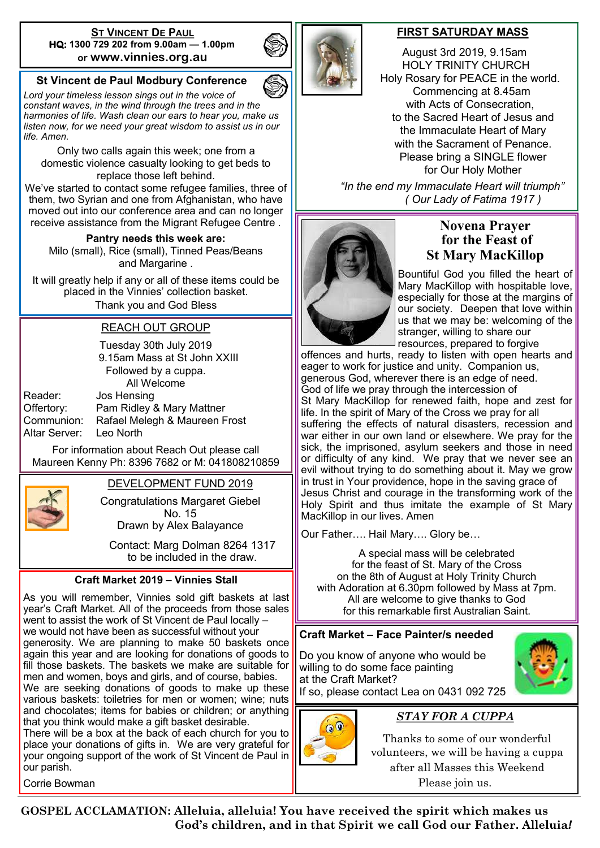#### **ST VINCENT DE PAUL HQ: 1300 729 202 from 9.00am — 1.00pm or www.vinnies.org.au**

# **St Vincent de Paul Modbury Conference**

*Lord your timeless lesson sings out in the voice of constant waves, in the wind through the trees and in the harmonies of life. Wash clean our ears to hear you, make us listen now, for we need your great wisdom to assist us in our life. Amen.*

Only two calls again this week; one from a domestic violence casualty looking to get beds to replace those left behind.

We've started to contact some refugee families, three of them, two Syrian and one from Afghanistan, who have moved out into our conference area and can no longer receive assistance from the Migrant Refugee Centre .

**Pantry needs this week are:** 

Milo (small), Rice (small), Tinned Peas/Beans and Margarine .

It will greatly help if any or all of these items could be placed in the Vinnies' collection basket. Thank you and God Bless

#### REACH OUT GROUP

Tuesday 30th July 2019 9.15am Mass at St John XXIII Followed by a cuppa. All Welcome Reader: Jos Hensing

Offertory: Pam Ridley & Mary Mattner Communion: Rafael Melegh & Maureen Frost Altar Server: Leo North

For information about Reach Out please call Maureen Kenny Ph: 8396 7682 or M: 041808210859



#### DEVELOPMENT FUND 2019

Congratulations Margaret Giebel No. 15 Drawn by Alex Balayance

Contact: Marg Dolman 8264 1317 to be included in the draw.

#### **Craft Market 2019 – Vinnies Stall**

As you will remember, Vinnies sold gift baskets at last year's Craft Market. All of the proceeds from those sales went to assist the work of St Vincent de Paul locally – we would not have been as successful without your generosity. We are planning to make 50 baskets once again this year and are looking for donations of goods to fill those baskets. The baskets we make are suitable for men and women, boys and girls, and of course, babies. We are seeking donations of goods to make up these various baskets: toiletries for men or women; wine; nuts and chocolates; items for babies or children; or anything that you think would make a gift basket desirable. There will be a box at the back of each church for you to

place your donations of gifts in. We are very grateful for your ongoing support of the work of St Vincent de Paul in our parish.

Corrie Bowman



#### **FIRST SATURDAY MASS**

 August 3rd 2019, 9.15am HOLY TRINITY CHURCH Holy Rosary for PEACE in the world. Commencing at 8.45am with Acts of Consecration, to the Sacred Heart of Jesus and the Immaculate Heart of Mary with the Sacrament of Penance. Please bring a SINGLE flower for Our Holy Mother

 *"In the end my Immaculate Heart will triumph" ( Our Lady of Fatima 1917 )*



# **Novena Prayer for the Feast of St Mary MacKillop**

Bountiful God you filled the heart of Mary MacKillop with hospitable love, especially for those at the margins of our society. Deepen that love within us that we may be: welcoming of the stranger, willing to share our resources, prepared to forgive

offences and hurts, ready to listen with open hearts and eager to work for justice and unity. Companion us, generous God, wherever there is an edge of need. God of life we pray through the intercession of St Mary MacKillop for renewed faith, hope and zest for life. In the spirit of Mary of the Cross we pray for all suffering the effects of natural disasters, recession and war either in our own land or elsewhere. We pray for the sick, the imprisoned, asylum seekers and those in need or difficulty of any kind. We pray that we never see an evil without trying to do something about it. May we grow in trust in Your providence, hope in the saving grace of Jesus Christ and courage in the transforming work of the Holy Spirit and thus imitate the example of St Mary MacKillop in our lives. Amen

Our Father…. Hail Mary…. Glory be…

A special mass will be celebrated for the feast of St. Mary of the Cross on the 8th of August at Holy Trinity Church with Adoration at 6.30pm followed by Mass at 7pm. All are welcome to give thanks to God for this remarkable first Australian Saint.

### **Craft Market – Face Painter/s needed**

Do you know of anyone who would be willing to do some face painting at the Craft Market?



If so, please contact Lea on 0431 092 725



# *STAY FOR A CUPPA*

Thanks to some of our wonderful volunteers, we will be having a cuppa after all Masses this Weekend Please join us.

**GOSPEL ACCLAMATION: Alleluia, alleluia! You have received the spirit which makes us God's children, and in that Spirit we call God our Father**